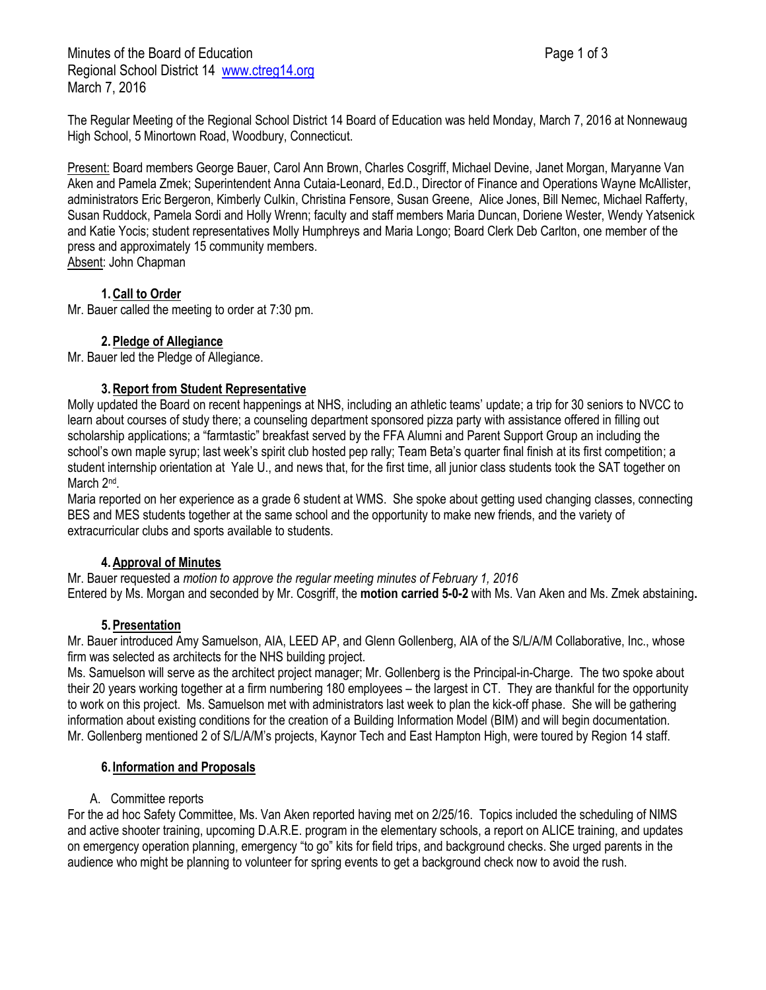Minutes of the Board of Education **Page 1 of 3** Page 1 of 3 Regional School District 14 [www.ctreg14.org](http://www.ctreg14.org/) March 7, 2016

The Regular Meeting of the Regional School District 14 Board of Education was held Monday, March 7, 2016 at Nonnewaug High School, 5 Minortown Road, Woodbury, Connecticut.

Present: Board members George Bauer, Carol Ann Brown, Charles Cosgriff, Michael Devine, Janet Morgan, Maryanne Van Aken and Pamela Zmek; Superintendent Anna Cutaia-Leonard, Ed.D., Director of Finance and Operations Wayne McAllister, administrators Eric Bergeron, Kimberly Culkin, Christina Fensore, Susan Greene, Alice Jones, Bill Nemec, Michael Rafferty, Susan Ruddock, Pamela Sordi and Holly Wrenn; faculty and staff members Maria Duncan, Doriene Wester, Wendy Yatsenick and Katie Yocis; student representatives Molly Humphreys and Maria Longo; Board Clerk Deb Carlton, one member of the press and approximately 15 community members. Absent: John Chapman

# **1.Call to Order**

Mr. Bauer called the meeting to order at 7:30 pm.

## **2.Pledge of Allegiance**

Mr. Bauer led the Pledge of Allegiance.

#### **3.Report from Student Representative**

Molly updated the Board on recent happenings at NHS, including an athletic teams' update; a trip for 30 seniors to NVCC to learn about courses of study there; a counseling department sponsored pizza party with assistance offered in filling out scholarship applications; a "farmtastic" breakfast served by the FFA Alumni and Parent Support Group an including the school's own maple syrup; last week's spirit club hosted pep rally; Team Beta's quarter final finish at its first competition; a student internship orientation at Yale U., and news that, for the first time, all junior class students took the SAT together on March 2<sup>nd</sup>.

Maria reported on her experience as a grade 6 student at WMS. She spoke about getting used changing classes, connecting BES and MES students together at the same school and the opportunity to make new friends, and the variety of extracurricular clubs and sports available to students.

## **4.Approval of Minutes**

Mr. Bauer requested a *motion to approve the regular meeting minutes of February 1, 2016*  Entered by Ms. Morgan and seconded by Mr. Cosgriff, the **motion carried 5-0-2** with Ms. Van Aken and Ms. Zmek abstaining**.**

## **5.Presentation**

Mr. Bauer introduced Amy Samuelson, AIA, LEED AP, and Glenn Gollenberg, AIA of the S/L/A/M Collaborative, Inc., whose firm was selected as architects for the NHS building project.

Ms. Samuelson will serve as the architect project manager; Mr. Gollenberg is the Principal-in-Charge. The two spoke about their 20 years working together at a firm numbering 180 employees – the largest in CT. They are thankful for the opportunity to work on this project. Ms. Samuelson met with administrators last week to plan the kick-off phase. She will be gathering information about existing conditions for the creation of a Building Information Model (BIM) and will begin documentation. Mr. Gollenberg mentioned 2 of S/L/A/M's projects, Kaynor Tech and East Hampton High, were toured by Region 14 staff.

#### **6. Information and Proposals**

#### A. Committee reports

For the ad hoc Safety Committee, Ms. Van Aken reported having met on 2/25/16. Topics included the scheduling of NIMS and active shooter training, upcoming D.A.R.E. program in the elementary schools, a report on ALICE training, and updates on emergency operation planning, emergency "to go" kits for field trips, and background checks. She urged parents in the audience who might be planning to volunteer for spring events to get a background check now to avoid the rush.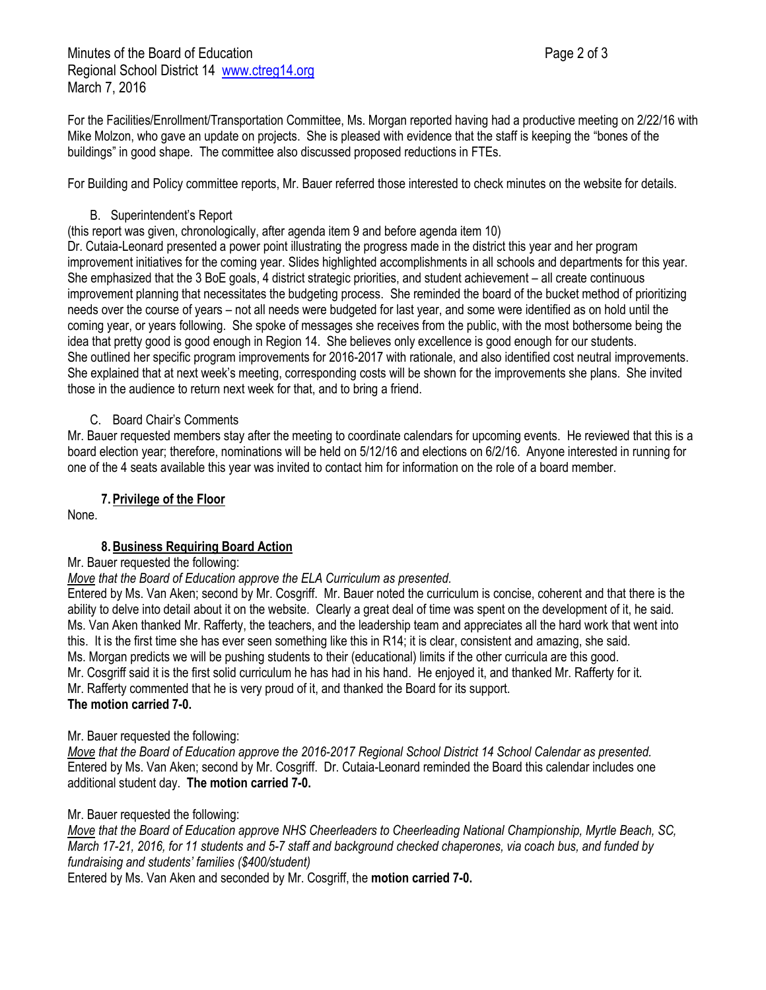For the Facilities/Enrollment/Transportation Committee, Ms. Morgan reported having had a productive meeting on 2/22/16 with Mike Molzon, who gave an update on projects. She is pleased with evidence that the staff is keeping the "bones of the buildings" in good shape. The committee also discussed proposed reductions in FTEs.

For Building and Policy committee reports, Mr. Bauer referred those interested to check minutes on the website for details.

#### B. Superintendent's Report

(this report was given, chronologically, after agenda item 9 and before agenda item 10)

Dr. Cutaia-Leonard presented a power point illustrating the progress made in the district this year and her program improvement initiatives for the coming year. Slides highlighted accomplishments in all schools and departments for this year. She emphasized that the 3 BoE goals, 4 district strategic priorities, and student achievement – all create continuous improvement planning that necessitates the budgeting process. She reminded the board of the bucket method of prioritizing needs over the course of years – not all needs were budgeted for last year, and some were identified as on hold until the coming year, or years following. She spoke of messages she receives from the public, with the most bothersome being the idea that pretty good is good enough in Region 14. She believes only excellence is good enough for our students. She outlined her specific program improvements for 2016-2017 with rationale, and also identified cost neutral improvements. She explained that at next week's meeting, corresponding costs will be shown for the improvements she plans. She invited those in the audience to return next week for that, and to bring a friend.

## C. Board Chair's Comments

Mr. Bauer requested members stay after the meeting to coordinate calendars for upcoming events. He reviewed that this is a board election year; therefore, nominations will be held on 5/12/16 and elections on 6/2/16. Anyone interested in running for one of the 4 seats available this year was invited to contact him for information on the role of a board member.

## **7.Privilege of the Floor**

None.

## **8.Business Requiring Board Action**

#### Mr. Bauer requested the following:

*Move that the Board of Education approve the ELA Curriculum as presented.*

Entered by Ms. Van Aken; second by Mr. Cosgriff. Mr. Bauer noted the curriculum is concise, coherent and that there is the ability to delve into detail about it on the website. Clearly a great deal of time was spent on the development of it, he said. Ms. Van Aken thanked Mr. Rafferty, the teachers, and the leadership team and appreciates all the hard work that went into this. It is the first time she has ever seen something like this in R14; it is clear, consistent and amazing, she said. Ms. Morgan predicts we will be pushing students to their (educational) limits if the other curricula are this good. Mr. Cosgriff said it is the first solid curriculum he has had in his hand. He enjoyed it, and thanked Mr. Rafferty for it. Mr. Rafferty commented that he is very proud of it, and thanked the Board for its support. **The motion carried 7-0.**

#### Mr. Bauer requested the following:

*Move that the Board of Education approve the 2016-2017 Regional School District 14 School Calendar as presented.*  Entered by Ms. Van Aken; second by Mr. Cosgriff. Dr. Cutaia-Leonard reminded the Board this calendar includes one additional student day. **The motion carried 7-0.**

#### Mr. Bauer requested the following:

*Move that the Board of Education approve NHS Cheerleaders to Cheerleading National Championship, Myrtle Beach, SC, March 17-21, 2016, for 11 students and 5-7 staff and background checked chaperones, via coach bus, and funded by fundraising and students' families (\$400/student)*

Entered by Ms. Van Aken and seconded by Mr. Cosgriff, the **motion carried 7-0.**